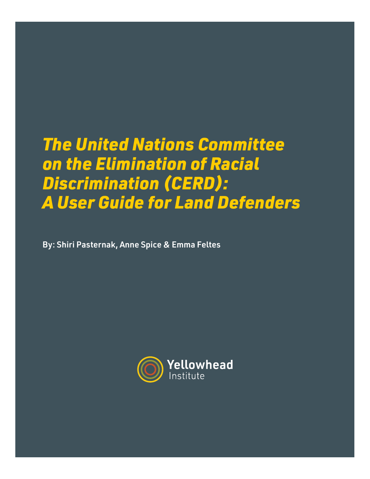# *The United Nations Committee on the Elimination of Racial Discrimination (CERD): A User Guide for Land Defenders*

By: Shiri Pasternak, Anne Spice & Emma Feltes

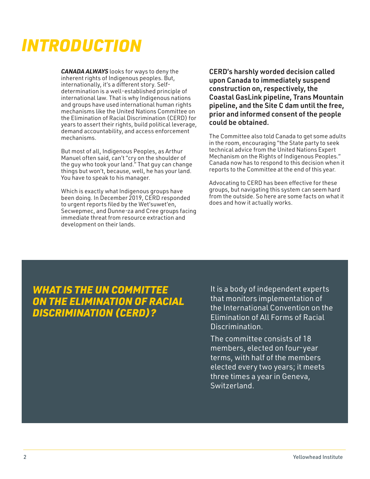## *INTRODUCTION*

*CANADA ALWAYS* looks for ways to deny the inherent rights of Indigenous peoples. But, internationally, it's a different story. Selfdetermination is a well-established principle of international law. That is why Indigenous nations and groups have used international human rights mechanisms like the United Nations Committee on the Elimination of Racial Discrimination (CERD) for years to assert their rights, build political leverage, demand accountability, and access enforcement mechanisms.

But most of all, Indigenous Peoples, as Arthur Manuel often said, can't "cry on the shoulder of the guy who took your land." That guy can change things but won't, because, well, he has your land. You have to speak to his manager.

Which is exactly what Indigenous groups have been doing. In December 2019, CERD responded to urgent reports filed by the Wet'suwet'en, Secwepmec, and Dunne-za and Cree groups facing immediate threat from resource extraction and development on their lands.

CERD's harshly worded decision called upon Canada to immediately suspend construction on, respectively, the Coastal GasLink pipeline, Trans Mountain pipeline, and the Site C dam until the free, prior and informed consent of the people could be obtained.

The Committee also told Canada to get some adults in the room, encouraging "the State party to seek technical advice from the United Nations Expert Mechanism on the Rights of Indigenous Peoples." Canada now has to respond to this decision when it reports to the Committee at the end of this year.

Advocating to CERD has been effective for these groups, but navigating this system can seem hard from the outside. So here are some facts on what it does and how it actually works.

## *WHAT IS THE UN COMMITTEE ON THE ELIMINATION OF RACIAL DISCRIMINATION (CERD)?*

It is a body of independent experts that monitors implementation of the International Convention on the Elimination of All Forms of Racial Discrimination.

The committee consists of 18 members, elected on four-year terms, with half of the members elected every two years; it meets three times a year in Geneva, Switzerland.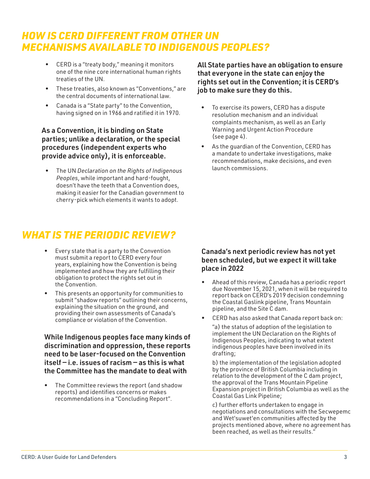## *HOW IS CERD DIFFERENT FROM OTHER UN MECHANISMS AVAILABLE TO INDIGENOUS PEOPLES?*

- CERD is a "treaty body," meaning it monitors one of the nine core international human rights treaties of the UN.
- These treaties, also known as "Conventions," are the central documents of international law.
- Canada is a "State party" to the Convention, having signed on in 1966 and ratified it in 1970.

#### As a Convention, it is binding on State parties; unlike a declaration, or the special procedures (independent experts who provide advice only), it is enforceable.

• The UN *Declaration on the Rights of Indigenous Peoples*, while important and hard-fought, doesn't have the teeth that a Convention does, making it easier for the Canadian government to cherry-pick which elements it wants to adopt.

## *WHAT IS THE PERIODIC REVIEW?*

- Every state that is a party to the Convention must submit a report to CERD every four years, explaining how the Convention is being implemented and how they are fulfilling their obligation to protect the rights set out in the Convention.
- This presents an opportunity for communities to submit "shadow reports" outlining their concerns, explaining the situation on the ground, and providing their own assessments of Canada's compliance or violation of the Convention.

While Indigenous peoples face many kinds of discrimination and oppression, these reports need to be laser-focused on the Convention itself — i.e. issues of racism — as this is what the Committee has the mandate to deal with

• The Committee reviews the report (and shadow reports) and identifies concerns or makes recommendations in a "Concluding Report".

All State parties have an obligation to ensure that everyone in the state can enjoy the rights set out in the Convention; it is CERD's job to make sure they do this.

- To exercise its powers, CERD has a dispute resolution mechanism and an individual complaints mechanism, as well as an Early Warning and Urgent Action Procedure (see page 4).
- As the quardian of the Convention, CERD has a mandate to undertake investigations, make recommendations, make decisions, and even launch commissions.

#### Canada's next periodic review has not yet been scheduled, but we expect it will take place in 2022

- Ahead of this review, Canada has a periodic report due November 15, 2021, when it will be required to report back on CERD's 2019 decision condemning the Coastal Gaslink pipeline, Trans Mountain pipeline, and the Site C dam.
- CERD has also asked that Canada report back on:

"a) the status of adoption of the legislation to implement the UN Declaration on the Rights of Indigenous Peoples, indicating to what extent indigenous peoples have been involved in its drafting;

b) the implementation of the legislation adopted by the province of British Columbia including in relation to the development of the C dam project, the approval of the Trans Mountain Pipeline Expansion project in British Columbia as well as the Coastal Gas Link Pipeline;

c) further efforts undertaken to engage in negotiations and consultations with the Secwepemc and Wet'suwet'en communities affected by the projects mentioned above, where no agreement has been reached, as well as their results."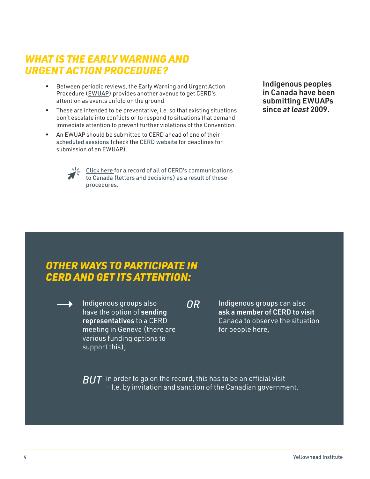## *WHAT IS THE EARLY WARNING AND URGENT ACTION PROCEDURE?*

- Between periodic reviews, the Early Warning and Urgent Action Procedure ([EWUAP](https://www.ohchr.org/EN/HRBodies/CERD/Pages/EarlyWarningProcedure.aspx)) provides another avenue to get CERD's attention as events unfold on the ground.
- These are intended to be preventative, i.e. so that existing situations don't escalate into conflicts or to respond to situations that demand immediate attention to prevent further violations of the Convention.
- An EWUAP should be submitted to CERD ahead of one of their [scheduled sessions](https://tbinternet.ohchr.org/_layouts/15/TreatyBodyExternal/SessionsList.aspx?Treaty=CERD) (check the [CERD website](https://www.ohchr.org/en/hrbodies/cerd/pages/cerdindex.aspx) for deadlines for submission of an EWUAP).



 $\frac{1}{2}$  [Click here](https://www.ohchr.org/EN/HRBodies/CERD/Pages/EarlyWarningProcedure.aspx ) for a record of all of CERD's communications to Canada (letters and decisions) as a result of these procedures.

Indigenous peoples in Canada have been submitting EWUAPs since *at least* 2009.

## *OTHER WAYS TO PARTICIPATE IN CERD AND GET ITS ATTENTION:*

Indigenous groups also have the option of sending representatives to a CERD meeting in Geneva (there are various funding options to support this);

*OR*

Indigenous groups can also ask a member of CERD to visit Canada to observe the situation for people here,

 $\overline{BUT}\;$  in order to go on the record, this has to be an official visit — I.e. by invitation and sanction of the Canadian government.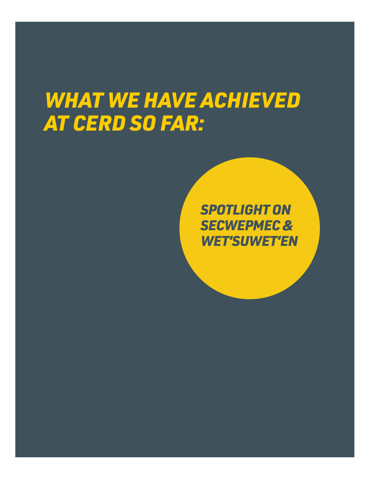# *WHAT WE HAVE ACHIEVED AT CERD SO FAR:*

*SPOTLIGHT ON SECWEPMEC & WET'SUWET'EN*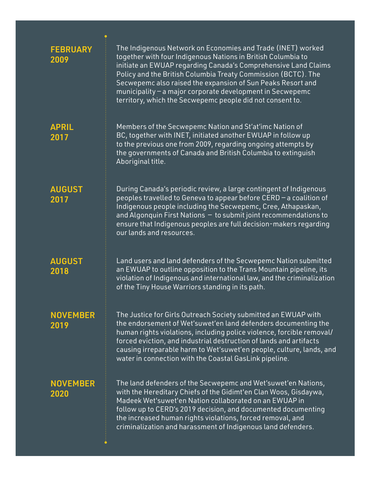| <b>FEBRUARY</b><br>2009 | The Indigenous Network on Economies and Trade (INET) worked<br>together with four Indigenous Nations in British Columbia to<br>initiate an EWUAP regarding Canada's Comprehensive Land Claims<br>Policy and the British Columbia Treaty Commission (BCTC). The<br>Secwepemc also raised the expansion of Sun Peaks Resort and<br>municipality - a major corporate development in Secwepemc<br>territory, which the Secwepemc people did not consent to. |
|-------------------------|---------------------------------------------------------------------------------------------------------------------------------------------------------------------------------------------------------------------------------------------------------------------------------------------------------------------------------------------------------------------------------------------------------------------------------------------------------|
| <b>APRIL</b><br>2017    | Members of the Secwepemc Nation and St'at'imc Nation of<br>BC, together with INET, initiated another EWUAP in follow up<br>to the previous one from 2009, regarding ongoing attempts by<br>the governments of Canada and British Columbia to extinguish<br>Aboriginal title.                                                                                                                                                                            |
| <b>AUGUST</b><br>2017   | During Canada's periodic review, a large contingent of Indigenous<br>peoples travelled to Geneva to appear before CERD - a coalition of<br>Indigenous people including the Secwepemc, Cree, Athapaskan,<br>and Algonquin First Nations - to submit joint recommendations to<br>ensure that Indigenous peoples are full decision-makers regarding<br>our lands and resources.                                                                            |
| <b>AUGUST</b><br>2018   | Land users and land defenders of the Secwepemc Nation submitted<br>an EWUAP to outline opposition to the Trans Mountain pipeline, its<br>violation of Indigenous and international law, and the criminalization<br>of the Tiny House Warriors standing in its path.                                                                                                                                                                                     |
| <b>NOVEMBER</b><br>2019 | The Justice for Girls Outreach Society submitted an EWUAP with<br>the endorsement of Wet'suwet'en land defenders documenting the<br>human rights violations, including police violence, forcible removal/<br>forced eviction, and industrial destruction of lands and artifacts<br>causing irreparable harm to Wet'suwet'en people, culture, lands, and<br>water in connection with the Coastal GasLink pipeline.                                       |
| <b>NOVEMBER</b><br>2020 | The land defenders of the Secwepemc and Wet'suwet'en Nations,<br>with the Hereditary Chiefs of the Gidimt'en Clan Woos, Gisdaywa,<br>Madeek Wet'suwet'en Nation collaborated on an EWUAP in<br>follow up to CERD's 2019 decision, and documented documenting<br>the increased human rights violations, forced removal, and<br>criminalization and harassment of Indigenous land defenders.                                                              |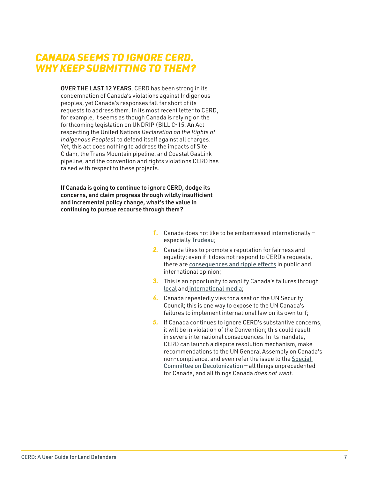### *CANADA SEEMS TO IGNORE CERD. WHY KEEP SUBMITTING TO THEM?*

OVER THE LAST 12 YEARS, CERD has been strong in its condemnation of Canada's violations against Indigenous peoples, yet Canada's responses fall far short of its requests to address them. In its most recent letter to CERD, for example, it seems as though Canada is relying on the forthcoming legislation on UNDRIP (BILL C-15, An Act respecting the United Nations *Declaration on the Rights of Indigenous Peoples*) to defend itself against all charges. Yet, this act does nothing to address the impacts of Site C dam, the Trans Mountain pipeline, and Coastal GasLink pipeline, and the convention and rights violations CERD has raised with respect to these projects.

If Canada is going to continue to ignore CERD, dodge its concerns, and claim progress through wildly insufficient and incremental policy change, what's the value in continuing to pursue recourse through them?

- *1.* Canada does not like to be embarrassed internationally especially [Trudeau](https://www.macleans.ca/politics/ottawa/justin-trudeau-announces-canadian-bid-for-seat-on-uns-security-council/);
- *2.* Canada likes to promote a reputation for fairness and equality; even if it does not respond to CERD's requests, there are [consequences and ripple effects](https://www.politico.com/news/2020/06/17/un-vote-deals-trudeau-embarrassing-defeat-on-world-stage-326617) in public and international opinion;
- *3.* This is an opportunity to amplify Canada's failures through [local](https://www.cbc.ca/news/world/canada-racial-discrimination-un-1.4244297) and [international media](https://www.theguardian.com/world/2020/feb/28/canada-pipeline-protests-climate-indigenous-rights);
- *4.* Canada repeatedly vies for a seat on the UN Security Council; this is one way to expose to the UN Canada's failures to implement international law on its own turf;
- *5.* If Canada continues to ignore CERD's substantive concerns, it will be in violation of the Convention; this could result in severe international consequences. In its mandate, CERD can launch a dispute resolution mechanism, make recommendations to the UN General Assembly on Canada's non-compliance, and even refer the issue to the [Special](https://www.un.org/dppa/decolonization/en/c24/about)  [Committee on Decolonization](https://www.un.org/dppa/decolonization/en/c24/about) — all things unprecedented for Canada, and all things Canada *does not want*.